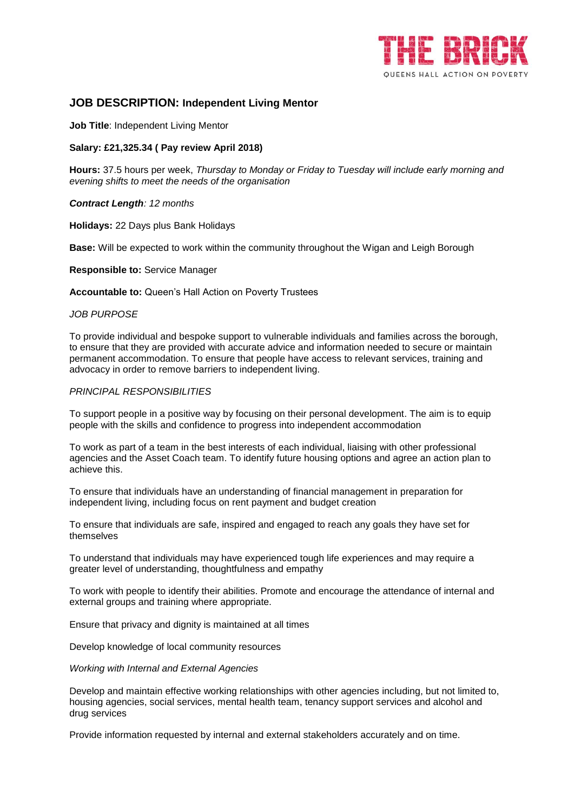

## **JOB DESCRIPTION: Independent Living Mentor**

**Job Title**: Independent Living Mentor

## **Salary: £21,325.34 ( Pay review April 2018)**

**Hours:** 37.5 hours per week, *Thursday to Monday or Friday to Tuesday will include early morning and evening shifts to meet the needs of the organisation*

## *Contract Length: 12 months*

**Holidays:** 22 Days plus Bank Holidays

**Base:** Will be expected to work within the community throughout the Wigan and Leigh Borough

**Responsible to:** Service Manager

**Accountable to:** Queen's Hall Action on Poverty Trustees

## *JOB PURPOSE*

To provide individual and bespoke support to vulnerable individuals and families across the borough, to ensure that they are provided with accurate advice and information needed to secure or maintain permanent accommodation. To ensure that people have access to relevant services, training and advocacy in order to remove barriers to independent living.

## *PRINCIPAL RESPONSIBILITIES*

To support people in a positive way by focusing on their personal development. The aim is to equip people with the skills and confidence to progress into independent accommodation

To work as part of a team in the best interests of each individual, liaising with other professional agencies and the Asset Coach team. To identify future housing options and agree an action plan to achieve this.

To ensure that individuals have an understanding of financial management in preparation for independent living, including focus on rent payment and budget creation

To ensure that individuals are safe, inspired and engaged to reach any goals they have set for themselves

To understand that individuals may have experienced tough life experiences and may require a greater level of understanding, thoughtfulness and empathy

To work with people to identify their abilities. Promote and encourage the attendance of internal and external groups and training where appropriate.

Ensure that privacy and dignity is maintained at all times

Develop knowledge of local community resources

*Working with Internal and External Agencies* 

Develop and maintain effective working relationships with other agencies including, but not limited to, housing agencies, social services, mental health team, tenancy support services and alcohol and drug services

Provide information requested by internal and external stakeholders accurately and on time.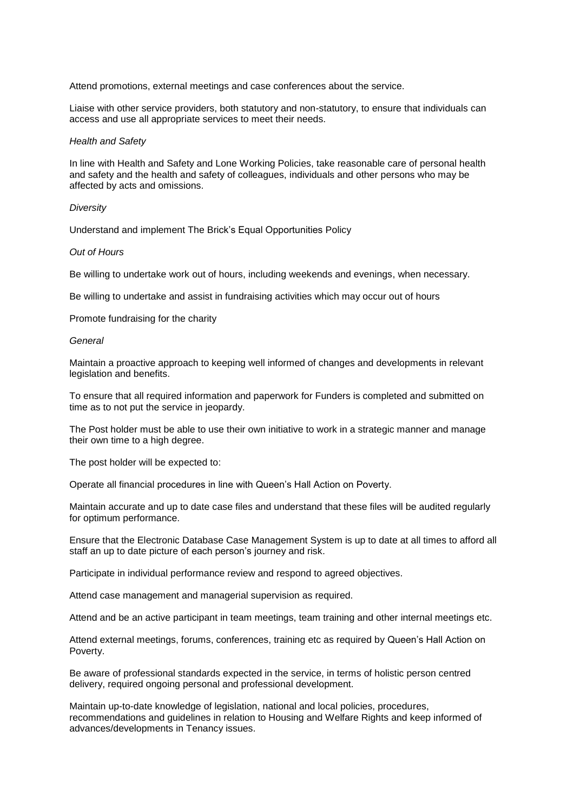Attend promotions, external meetings and case conferences about the service.

Liaise with other service providers, both statutory and non-statutory, to ensure that individuals can access and use all appropriate services to meet their needs.

#### *Health and Safety*

In line with Health and Safety and Lone Working Policies, take reasonable care of personal health and safety and the health and safety of colleagues, individuals and other persons who may be affected by acts and omissions.

#### *Diversity*

Understand and implement The Brick's Equal Opportunities Policy

#### *Out of Hours*

Be willing to undertake work out of hours, including weekends and evenings, when necessary.

Be willing to undertake and assist in fundraising activities which may occur out of hours

Promote fundraising for the charity

#### *General*

Maintain a proactive approach to keeping well informed of changes and developments in relevant legislation and benefits.

To ensure that all required information and paperwork for Funders is completed and submitted on time as to not put the service in jeopardy.

The Post holder must be able to use their own initiative to work in a strategic manner and manage their own time to a high degree.

The post holder will be expected to:

Operate all financial procedures in line with Queen's Hall Action on Poverty.

Maintain accurate and up to date case files and understand that these files will be audited regularly for optimum performance.

Ensure that the Electronic Database Case Management System is up to date at all times to afford all staff an up to date picture of each person's journey and risk.

Participate in individual performance review and respond to agreed objectives.

Attend case management and managerial supervision as required.

Attend and be an active participant in team meetings, team training and other internal meetings etc.

Attend external meetings, forums, conferences, training etc as required by Queen's Hall Action on Poverty.

Be aware of professional standards expected in the service, in terms of holistic person centred delivery, required ongoing personal and professional development.

Maintain up-to-date knowledge of legislation, national and local policies, procedures, recommendations and guidelines in relation to Housing and Welfare Rights and keep informed of advances/developments in Tenancy issues.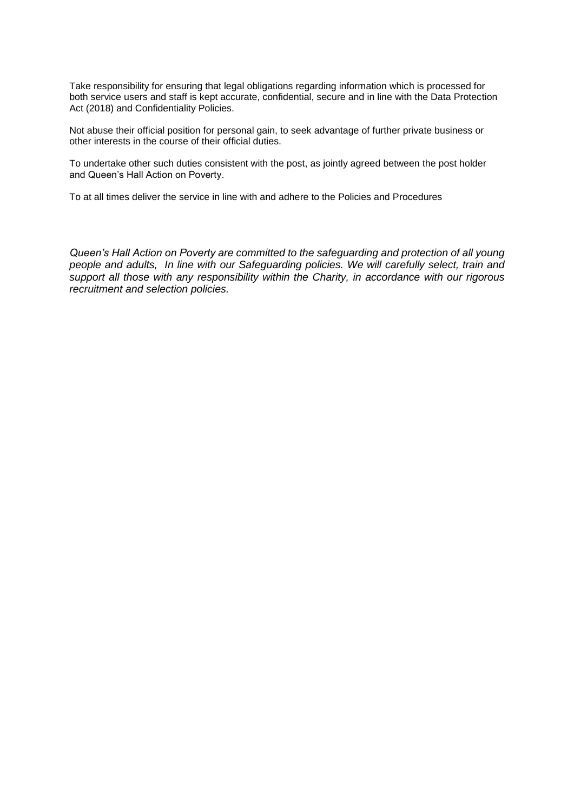Take responsibility for ensuring that legal obligations regarding information which is processed for both service users and staff is kept accurate, confidential, secure and in line with the Data Protection Act (2018) and Confidentiality Policies.

Not abuse their official position for personal gain, to seek advantage of further private business or other interests in the course of their official duties.

To undertake other such duties consistent with the post, as jointly agreed between the post holder and Queen's Hall Action on Poverty.

To at all times deliver the service in line with and adhere to the Policies and Procedures

*Queen's Hall Action on Poverty are committed to the safeguarding and protection of all young people and adults, In line with our Safeguarding policies. We will carefully select, train and support all those with any responsibility within the Charity, in accordance with our rigorous recruitment and selection policies.*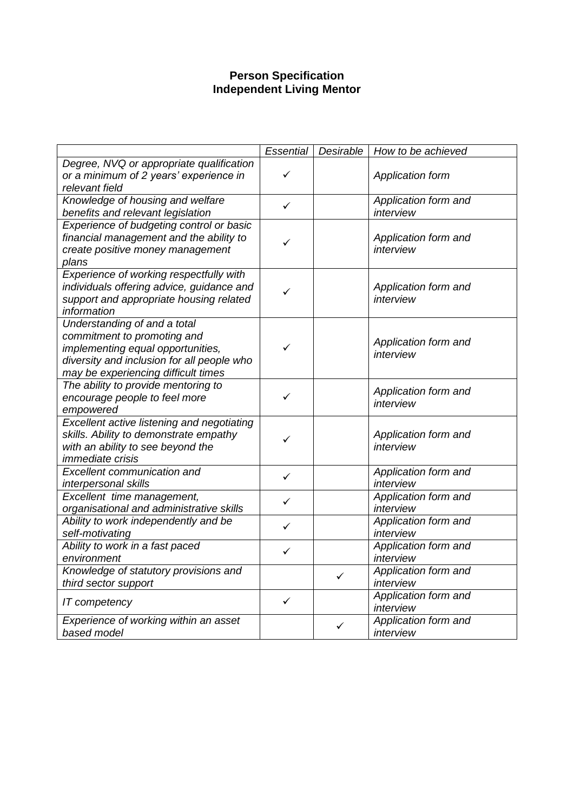# **Person Specification Independent Living Mentor**

|                                                                                                                                                                                       | Essential    | Desirable | How to be achieved                |
|---------------------------------------------------------------------------------------------------------------------------------------------------------------------------------------|--------------|-----------|-----------------------------------|
| Degree, NVQ or appropriate qualification<br>or a minimum of 2 years' experience in<br>relevant field                                                                                  | ✓            |           | Application form                  |
| Knowledge of housing and welfare<br>benefits and relevant legislation                                                                                                                 | ✓            |           | Application form and<br>interview |
| Experience of budgeting control or basic<br>financial management and the ability to<br>create positive money management<br>plans                                                      | ✓            |           | Application form and<br>interview |
| Experience of working respectfully with<br>individuals offering advice, guidance and<br>support and appropriate housing related<br>information                                        | ✓            |           | Application form and<br>interview |
| Understanding of and a total<br>commitment to promoting and<br>implementing equal opportunities,<br>diversity and inclusion for all people who<br>may be experiencing difficult times | ✓            |           | Application form and<br>interview |
| The ability to provide mentoring to<br>encourage people to feel more<br>empowered                                                                                                     | ✓            |           | Application form and<br>interview |
| <b>Excellent active listening and negotiating</b><br>skills. Ability to demonstrate empathy<br>with an ability to see beyond the<br><i>immediate crisis</i>                           | ✓            |           | Application form and<br>interview |
| <b>Excellent communication and</b><br>interpersonal skills                                                                                                                            | $\checkmark$ |           | Application form and<br>interview |
| Excellent time management,<br>organisational and administrative skills                                                                                                                | $\checkmark$ |           | Application form and<br>interview |
| Ability to work independently and be<br>self-motivating                                                                                                                               | ✓            |           | Application form and<br>interview |
| Ability to work in a fast paced<br>environment                                                                                                                                        | ✓            |           | Application form and<br>interview |
| Knowledge of statutory provisions and<br>third sector support                                                                                                                         |              | ✓         | Application form and<br>interview |
| IT competency                                                                                                                                                                         | $\checkmark$ |           | Application form and<br>interview |
| Experience of working within an asset<br>based model                                                                                                                                  |              | ✓         | Application form and<br>interview |